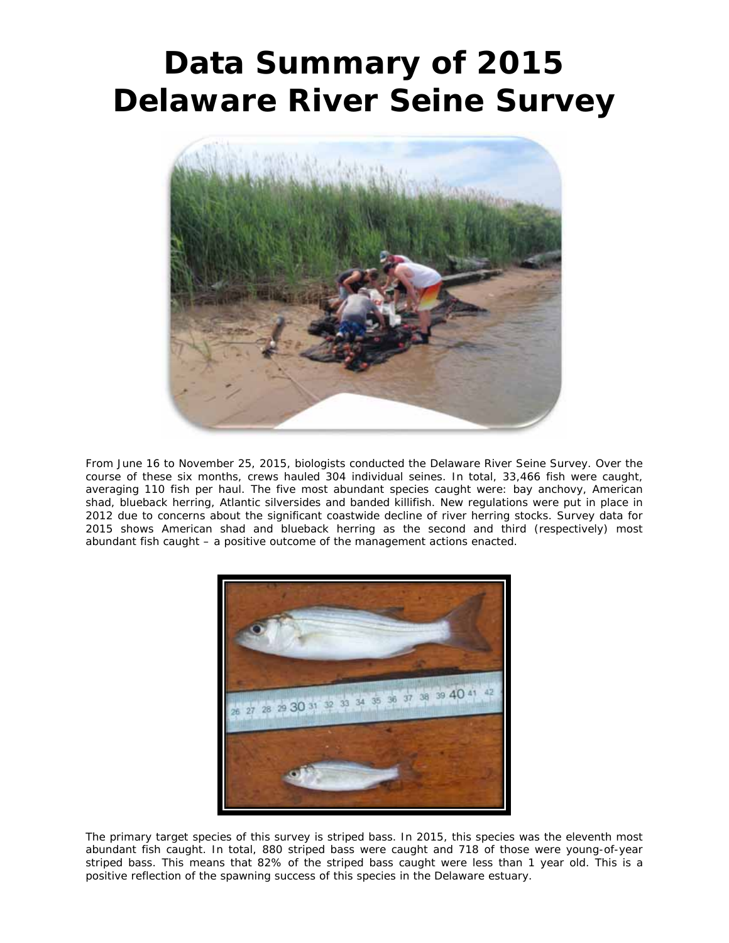## **Data Summary of 2015 Delaware River Seine Survey**



From June 16 to November 25, 2015, biologists conducted the Delaware River Seine Survey. Over the course of these six months, crews hauled 304 individual seines. In total, 33,466 fish were caught, averaging 110 fish per haul. The five most abundant species caught were: bay anchovy, American shad, blueback herring, Atlantic silversides and banded killifish. New regulations were put in place in 2012 due to concerns about the significant coastwide decline of river herring stocks. Survey data for 2015 shows American shad and blueback herring as the second and third (respectively) most abundant fish caught – a positive outcome of the management actions enacted.



The primary target species of this survey is striped bass. In 2015, this species was the eleventh most abundant fish caught. In total, 880 striped bass were caught and 718 of those were young-of-year striped bass. This means that 82% of the striped bass caught were less than 1 year old. This is a positive reflection of the spawning success of this species in the Delaware estuary.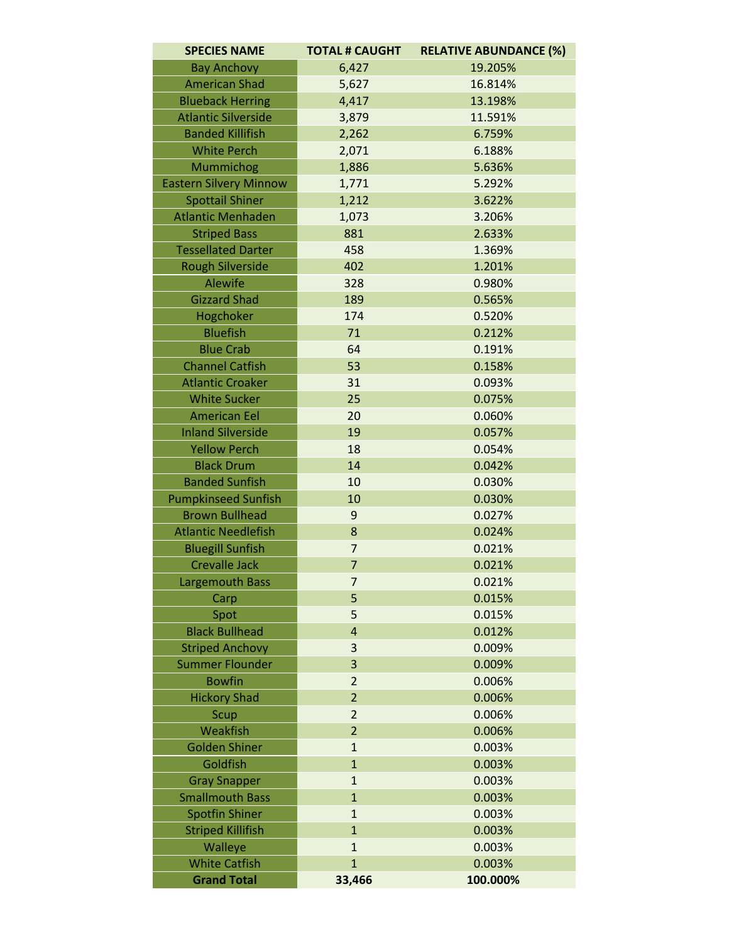| <b>SPECIES NAME</b>           | <b>TOTAL # CAUGHT</b> | <b>RELATIVE ABUNDANCE (%)</b> |
|-------------------------------|-----------------------|-------------------------------|
| <b>Bay Anchovy</b>            | 6,427                 | 19.205%                       |
| <b>American Shad</b>          | 5,627                 | 16.814%                       |
| <b>Blueback Herring</b>       | 4,417                 | 13.198%                       |
| <b>Atlantic Silverside</b>    | 3,879                 | 11.591%                       |
| <b>Banded Killifish</b>       | 2,262                 | 6.759%                        |
| <b>White Perch</b>            | 2,071                 | 6.188%                        |
| Mummichog                     | 1,886                 | 5.636%                        |
| <b>Eastern Silvery Minnow</b> | 1,771                 | 5.292%                        |
| <b>Spottail Shiner</b>        | 1,212                 | 3.622%                        |
| <b>Atlantic Menhaden</b>      | 1,073                 | 3.206%                        |
| <b>Striped Bass</b>           | 881                   | 2.633%                        |
| <b>Tessellated Darter</b>     | 458                   | 1.369%                        |
| <b>Rough Silverside</b>       | 402                   | 1.201%                        |
| Alewife                       | 328                   | 0.980%                        |
| <b>Gizzard Shad</b>           | 189                   | 0.565%                        |
| Hogchoker                     | 174                   | 0.520%                        |
| <b>Bluefish</b>               | 71                    | 0.212%                        |
| <b>Blue Crab</b>              | 64                    | 0.191%                        |
| <b>Channel Catfish</b>        | 53                    | 0.158%                        |
| <b>Atlantic Croaker</b>       | 31                    | 0.093%                        |
| <b>White Sucker</b>           | 25                    | 0.075%                        |
| <b>American Eel</b>           | 20                    | 0.060%                        |
| <b>Inland Silverside</b>      | 19                    | 0.057%                        |
| <b>Yellow Perch</b>           | 18                    | 0.054%                        |
| <b>Black Drum</b>             | 14                    | 0.042%                        |
| <b>Banded Sunfish</b>         | 10                    | 0.030%                        |
| <b>Pumpkinseed Sunfish</b>    | 10                    | 0.030%                        |
| <b>Brown Bullhead</b>         | 9                     | 0.027%                        |
| <b>Atlantic Needlefish</b>    | 8                     | 0.024%                        |
| <b>Bluegill Sunfish</b>       | $\overline{7}$        | 0.021%                        |
| <b>Crevalle Jack</b>          | $\overline{7}$        | 0.021%                        |
| <b>Largemouth Bass</b>        | $\overline{7}$        | 0.021%                        |
| Carp                          | 5                     | 0.015%                        |
| Spot                          | 5                     | 0.015%                        |
| <b>Black Bullhead</b>         | 4                     | 0.012%                        |
| <b>Striped Anchovy</b>        | 3                     | 0.009%                        |
| <b>Summer Flounder</b>        | 3                     | 0.009%                        |
| <b>Bowfin</b>                 | $\overline{2}$        | 0.006%                        |
| <b>Hickory Shad</b>           | $\overline{2}$        | 0.006%                        |
| Scup                          | $\overline{2}$        | 0.006%                        |
| Weakfish                      | $\overline{2}$        | 0.006%                        |
| <b>Golden Shiner</b>          | $\mathbf{1}$          | 0.003%                        |
| Goldfish                      | $\mathbf{1}$          | 0.003%                        |
| <b>Gray Snapper</b>           | $\mathbf{1}$          | 0.003%                        |
| <b>Smallmouth Bass</b>        | $\mathbf{1}$          | 0.003%                        |
| <b>Spotfin Shiner</b>         | $\mathbf{1}$          | 0.003%                        |
| <b>Striped Killifish</b>      | $\overline{1}$        | 0.003%                        |
| Walleye                       | $\mathbf{1}$          | 0.003%                        |
| <b>White Catfish</b>          | $\mathbf{1}$          | 0.003%                        |
| <b>Grand Total</b>            | 33,466                | 100.000%                      |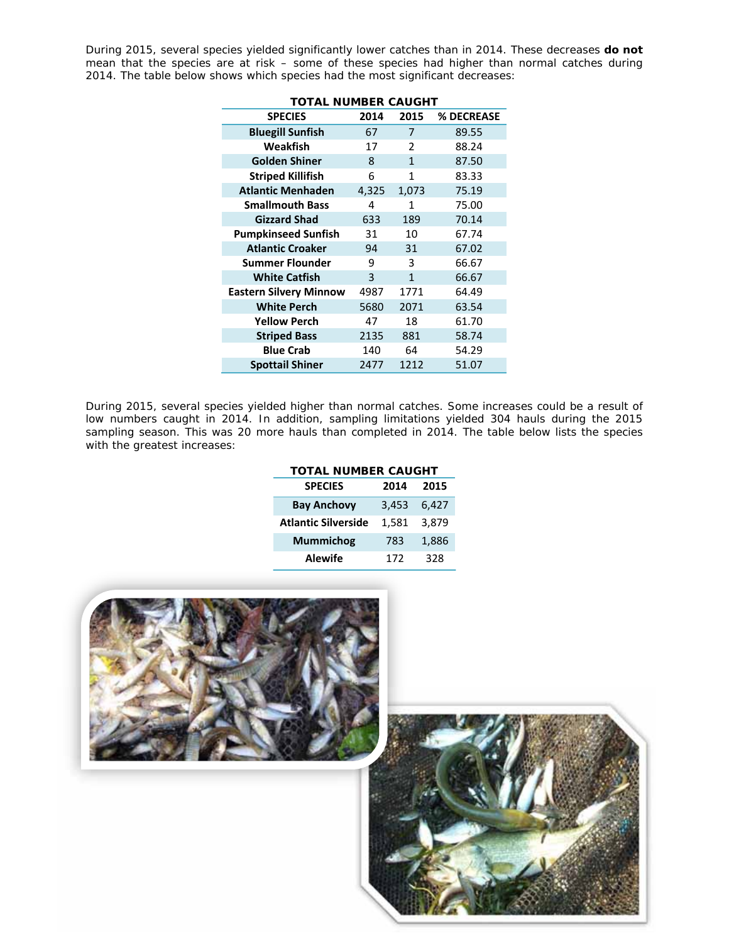During 2015, several species yielded significantly lower catches than in 2014. These decreases **do not** mean that the species are at risk – some of these species had higher than normal catches during 2014. The table below shows which species had the most significant decreases:

| <b>SPECIES</b>                | 2014  | 2015           | % DECREASE |  |  |  |
|-------------------------------|-------|----------------|------------|--|--|--|
| <b>Bluegill Sunfish</b>       | 67    | 7              | 89.55      |  |  |  |
| Weakfish                      | 17    | $\overline{2}$ | 88.24      |  |  |  |
| <b>Golden Shiner</b>          | 8     | $\mathbf{1}$   | 87.50      |  |  |  |
| <b>Striped Killifish</b>      | 6     | $\mathbf{1}$   | 83.33      |  |  |  |
| <b>Atlantic Menhaden</b>      | 4,325 | 1,073          | 75.19      |  |  |  |
| <b>Smallmouth Bass</b>        | 4     | 1              | 75.00      |  |  |  |
| <b>Gizzard Shad</b>           | 633   | 189            | 70.14      |  |  |  |
| <b>Pumpkinseed Sunfish</b>    | 31    | 10             | 67.74      |  |  |  |
| <b>Atlantic Croaker</b>       | 94    | 31             | 67.02      |  |  |  |
| <b>Summer Flounder</b>        | 9     | 3              | 66.67      |  |  |  |
| <b>White Catfish</b>          | 3     | $\mathbf{1}$   | 66.67      |  |  |  |
| <b>Eastern Silvery Minnow</b> | 4987  | 1771           | 64.49      |  |  |  |
| <b>White Perch</b>            | 5680  | 2071           | 63.54      |  |  |  |
| <b>Yellow Perch</b>           | 47    | 18             | 61.70      |  |  |  |
| <b>Striped Bass</b>           | 2135  | 881            | 58.74      |  |  |  |
| <b>Blue Crab</b>              | 140   | 64             | 54.29      |  |  |  |
| <b>Spottail Shiner</b>        | 2477  | 1212           | 51.07      |  |  |  |

## **TOTAL NUMBER CAUGHT**

During 2015, several species yielded higher than normal catches. Some increases could be a result of low numbers caught in 2014. In addition, sampling limitations yielded 304 hauls during the 2015 sampling season. This was 20 more hauls than completed in 2014. The table below lists the species with the greatest increases:

| <b>TOTAL NUMBER CAUGHT</b> |       |       |  |  |
|----------------------------|-------|-------|--|--|
| <b>SPECIES</b>             | 2014  | 2015  |  |  |
| <b>Bay Anchovy</b>         | 3,453 | 6,427 |  |  |
| <b>Atlantic Silverside</b> | 1,581 | 3,879 |  |  |
| <b>Mummichog</b>           | 783   | 1,886 |  |  |
| <b>Alewife</b>             | 172   | 328   |  |  |